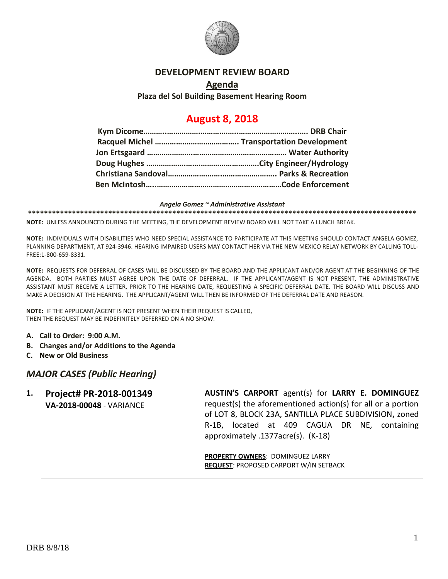

## **DEVELOPMENT REVIEW BOARD**

**Agenda Plaza del Sol Building Basement Hearing Room**

# **August 8, 2018**

*Angela Gomez ~ Administrative Assistant* **\*\*\*\*\*\*\*\*\*\*\*\*\*\*\*\*\*\*\*\*\*\*\*\*\*\*\*\*\*\*\*\*\*\*\*\*\*\*\*\*\*\*\*\*\*\*\*\*\*\*\*\*\*\*\*\*\*\*\*\*\*\*\*\*\*\*\*\*\*\*\*\*\*\*\*\*\*\*\*\*\*\*\*\*\*\*\*\*\*\*\*\*\*\*\*\*\***

**NOTE:** UNLESS ANNOUNCED DURING THE MEETING, THE DEVELOPMENT REVIEW BOARD WILL NOT TAKE A LUNCH BREAK.

**NOTE:** INDIVIDUALS WITH DISABILITIES WHO NEED SPECIAL ASSISTANCE TO PARTICIPATE AT THIS MEETING SHOULD CONTACT ANGELA GOMEZ, PLANNING DEPARTMENT, AT 924-3946. HEARING IMPAIRED USERS MAY CONTACT HER VIA THE NEW MEXICO RELAY NETWORK BY CALLING TOLL-FREE:1-800-659-8331.

**NOTE:** REQUESTS FOR DEFERRAL OF CASES WILL BE DISCUSSED BY THE BOARD AND THE APPLICANT AND/OR AGENT AT THE BEGINNING OF THE AGENDA. BOTH PARTIES MUST AGREE UPON THE DATE OF DEFERRAL. IF THE APPLICANT/AGENT IS NOT PRESENT, THE ADMINISTRATIVE ASSISTANT MUST RECEIVE A LETTER, PRIOR TO THE HEARING DATE, REQUESTING A SPECIFIC DEFERRAL DATE. THE BOARD WILL DISCUSS AND MAKE A DECISION AT THE HEARING. THE APPLICANT/AGENT WILL THEN BE INFORMED OF THE DEFERRAL DATE AND REASON.

**NOTE:** IF THE APPLICANT/AGENT IS NOT PRESENT WHEN THEIR REQUEST IS CALLED, THEN THE REQUEST MAY BE INDEFINITELY DEFERRED ON A NO SHOW.

- **A. Call to Order: 9:00 A.M.**
- **B. Changes and/or Additions to the Agenda**
- **C. New or Old Business**

### *MAJOR CASES (Public Hearing)*

**1. Project# PR-2018-001349 VA-2018-00048** - VARIANCE **AUSTIN'S CARPORT** agent(s) for **LARRY E. DOMINGUEZ** request(s) the aforementioned action(s) for all or a portion of LOT 8, BLOCK 23A, SANTILLA PLACE SUBDIVISION**,** zoned R-1B, located at 409 CAGUA DR NE, containing approximately .1377acre(s). (K-18)

> **PROPERTY OWNERS**: DOMINGUEZ LARRY **REQUEST**: PROPOSED CARPORT W/IN SETBACK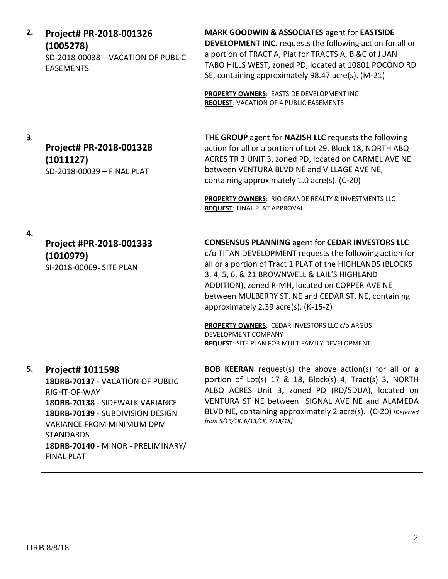| 2. | Project# PR-2018-001326<br>(1005278)<br>SD-2018-00038 - VACATION OF PUBLIC<br><b>EASEMENTS</b>                                                                                                                                                                 | <b>MARK GOODWIN &amp; ASSOCIATES agent for EASTSIDE</b><br><b>DEVELOPMENT INC.</b> requests the following action for all or<br>a portion of TRACT A, Plat for TRACTS A, B &C of JUAN<br>TABO HILLS WEST, zoned PD, located at 10801 POCONO RD<br>SE, containing approximately 98.47 acre(s). (M-21)<br>PROPERTY OWNERS: EASTSIDE DEVELOPMENT INC<br><b>REQUEST: VACATION OF 4 PUBLIC EASEMENTS</b>                                                                                                                          |
|----|----------------------------------------------------------------------------------------------------------------------------------------------------------------------------------------------------------------------------------------------------------------|-----------------------------------------------------------------------------------------------------------------------------------------------------------------------------------------------------------------------------------------------------------------------------------------------------------------------------------------------------------------------------------------------------------------------------------------------------------------------------------------------------------------------------|
| 3. | Project# PR-2018-001328<br>(1011127)<br>SD-2018-00039 - FINAL PLAT                                                                                                                                                                                             | THE GROUP agent for NAZISH LLC requests the following<br>action for all or a portion of Lot 29, Block 18, NORTH ABQ<br>ACRES TR 3 UNIT 3, zoned PD, located on CARMEL AVE NE<br>between VENTURA BLVD NE and VILLAGE AVE NE,<br>containing approximately 1.0 acre(s). (C-20)<br>PROPERTY OWNERS: RIO GRANDE REALTY & INVESTMENTS LLC<br><b>REQUEST: FINAL PLAT APPROVAL</b>                                                                                                                                                  |
| 4. | Project #PR-2018-001333<br>(1010979)<br>SI-2018-00069 - SITE PLAN                                                                                                                                                                                              | <b>CONSENSUS PLANNING agent for CEDAR INVESTORS LLC</b><br>c/o TITAN DEVELOPMENT requests the following action for<br>all or a portion of Tract 1 PLAT of the HIGHLANDS (BLOCKS<br>3, 4, 5, 6, & 21 BROWNWELL & LAIL'S HIGHLAND<br>ADDITION), zoned R-MH, located on COPPER AVE NE<br>between MULBERRY ST. NE and CEDAR ST. NE, containing<br>approximately 2.39 acre(s). (K-15-Z)<br><b>PROPERTY OWNERS: CEDAR INVESTORS LLC c/o ARGUS</b><br>DEVELOPMENT COMPANY<br><b>REQUEST: SITE PLAN FOR MULTIFAMILY DEVELOPMENT</b> |
| 5. | <b>Project# 1011598</b><br>18DRB-70137 - VACATION OF PUBLIC<br>RIGHT-OF-WAY<br>18DRB-70138 - SIDEWALK VARIANCE<br>18DRB-70139 - SUBDIVISION DESIGN<br>VARIANCE FROM MINIMUM DPM<br><b>STANDARDS</b><br>18DRB-70140 - MINOR - PRELIMINARY/<br><b>FINAL PLAT</b> | <b>BOB KEERAN</b> request(s) the above action(s) for all or a<br>portion of Lot(s) 17 & 18, Block(s) 4, Tract(s) 3, NORTH<br>ALBQ ACRES Unit 3, zoned PD (RD/5DUA), located on<br>VENTURA ST NE between SIGNAL AVE NE and ALAMEDA<br>BLVD NE, containing approximately 2 acre(s). (C-20) [Deferred]<br>from 5/16/18, 6/13/18, 7/18/18]                                                                                                                                                                                      |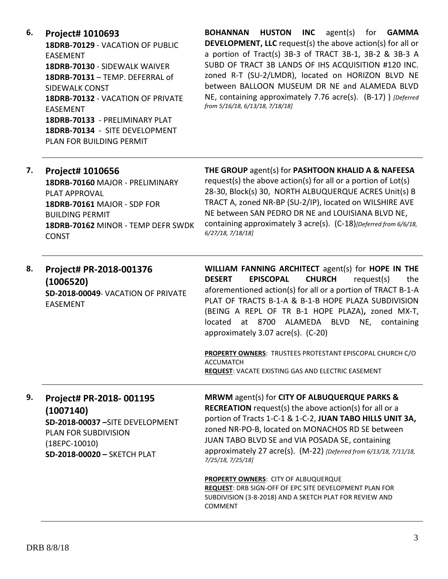**6. Project# 1010693**

**18DRB-70129** - VACATION OF PUBLIC EASEMENT **18DRB-70130** - SIDEWALK WAIVER **18DRB-70131** – TEMP. DEFERRAL of SIDEWALK CONST **18DRB-70132** - VACATION OF PRIVATE EASEMENT **18DRB-70133** - PRELIMINARY PLAT **18DRB-70134** - SITE DEVELOPMENT PLAN FOR BUILDING PERMIT

**BOHANNAN HUSTON INC** agent(s) for **GAMMA DEVELOPMENT, LLC** request(s) the above action(s) for all or a portion of Tract(s) 3B-3 of TRACT 3B-1, 3B-2 & 3B-3 A SUBD OF TRACT 3B LANDS OF IHS ACQUISITION #120 INC. zoned R-T (SU-2/LMDR), located on HORIZON BLVD NE between BALLOON MUSEUM DR NE and ALAMEDA BLVD NE, containing approximately 7.76 acre(s). (B-17) ) *[Deferred from 5/16/18, 6/13/18, 7/18/18]*

| 7. | Project# 1010656<br>18DRB-70160 MAJOR - PRELIMINARY<br><b>PLAT APPROVAL</b><br>18DRB-70161 MAJOR - SDP FOR<br><b>BUILDING PERMIT</b><br>18DRB-70162 MINOR - TEMP DEFR SWDK<br><b>CONST</b> | THE GROUP agent(s) for PASHTOON KHALID A & NAFEESA<br>request(s) the above action(s) for all or a portion of Lot(s)<br>28-30, Block(s) 30, NORTH ALBUQUERQUE ACRES Unit(s) B<br>TRACT A, zoned NR-BP (SU-2/IP), located on WILSHIRE AVE<br>NE between SAN PEDRO DR NE and LOUISIANA BLVD NE,<br>containing approximately 3 acre(s). (C-18)[Deferred from 6/6/18,<br>$6/27/18$ , $7/18/18$ ] |
|----|--------------------------------------------------------------------------------------------------------------------------------------------------------------------------------------------|---------------------------------------------------------------------------------------------------------------------------------------------------------------------------------------------------------------------------------------------------------------------------------------------------------------------------------------------------------------------------------------------|
|----|--------------------------------------------------------------------------------------------------------------------------------------------------------------------------------------------|---------------------------------------------------------------------------------------------------------------------------------------------------------------------------------------------------------------------------------------------------------------------------------------------------------------------------------------------------------------------------------------------|

| 8. | Project# PR-2018-001376           |                  | WILLIAM FANNING ARCHITECT agent(s) for HOPE IN THE                                                                     |               |            |            |
|----|-----------------------------------|------------------|------------------------------------------------------------------------------------------------------------------------|---------------|------------|------------|
|    | (1006520)                         | <b>DESERT</b>    | <b>EPISCOPAL</b>                                                                                                       | <b>CHURCH</b> | request(s) | the        |
|    | SD-2018-00049-VACATION OF PRIVATE |                  | aforementioned action(s) for all or a portion of TRACT B-1-A<br>PLAT OF TRACTS B-1-A & B-1-B HOPE PLAZA SUBDIVISION    |               |            |            |
|    | <b>EASEMENT</b>                   |                  | (BEING A REPL OF TR B-1 HOPE PLAZA), zoned MX-T,<br>located at 8700 ALAMEDA BLVD<br>approximately 3.07 acre(s). (C-20) |               | NE,        | containing |
|    |                                   | <b>ACCUMATCH</b> | <b>PROPERTY OWNERS: TRUSTEES PROTESTANT EPISCOPAL CHURCH C/O</b>                                                       |               |            |            |

**REQUEST**: VACATE EXISTING GAS AND ELECTRIC EASEMENT

# **9. Project# PR-2018- 001195 (1007140) SD-2018-00037 –**SITE DEVELOPMENT PLAN FOR SUBDIVISION

(18EPC-10010) **SD-2018-00020 –** SKETCH PLAT **MRWM** agent(s) for **CITY OF ALBUQUERQUE PARKS & RECREATION** request(s) the above action(s) for all or a portion of Tracts 1-C-1 & 1-C-2, **JUAN TABO HILLS UNIT 3A,**  zoned NR-PO-B, located on MONACHOS RD SE between JUAN TABO BLVD SE and VIA POSADA SE, containing approximately 27 acre(s). (M-22) *[Deferred from 6/13/18, 7/11/18, 7/25/18, 7/25/18]*

**PROPERTY OWNERS**: CITY OF ALBUQUERQUE **REQUEST**: DRB SIGN-OFF OF EPC SITE DEVELOPMENT PLAN FOR SUBDIVISION (3-8-2018) AND A SKETCH PLAT FOR REVIEW AND COMMENT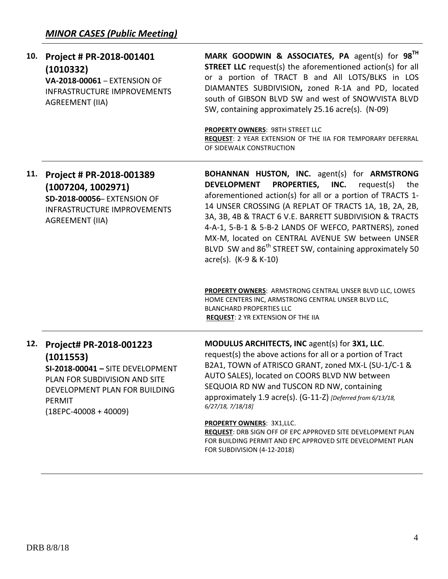| 10. | Project # PR-2018-001401<br>(1010332)<br>VA-2018-00061 - EXTENSION OF<br><b>INFRASTRUCTURE IMPROVEMENTS</b><br><b>AGREEMENT (IIA)</b>                                         | MARK GOODWIN & ASSOCIATES, PA agent(s) for 98 <sup>TH</sup><br><b>STREET LLC</b> request(s) the aforementioned action(s) for all<br>or a portion of TRACT B and All LOTS/BLKS in LOS<br>DIAMANTES SUBDIVISION, zoned R-1A and PD, located<br>south of GIBSON BLVD SW and west of SNOWVISTA BLVD<br>SW, containing approximately 25.16 acre(s). (N-09)<br>PROPERTY OWNERS: 98TH STREET LLC<br>REQUEST: 2 YEAR EXTENSION OF THE IIA FOR TEMPORARY DEFERRAL<br>OF SIDEWALK CONSTRUCTION                           |
|-----|-------------------------------------------------------------------------------------------------------------------------------------------------------------------------------|----------------------------------------------------------------------------------------------------------------------------------------------------------------------------------------------------------------------------------------------------------------------------------------------------------------------------------------------------------------------------------------------------------------------------------------------------------------------------------------------------------------|
| 11. | Project # PR-2018-001389<br>(1007204, 1002971)<br>SD-2018-00056- EXTENSION OF<br><b>INFRASTRUCTURE IMPROVEMENTS</b><br><b>AGREEMENT (IIA)</b>                                 | BOHANNAN HUSTON, INC. agent(s) for ARMSTRONG<br>PROPERTIES, INC.<br><b>DEVELOPMENT</b><br>request(s)<br>the<br>aforementioned action(s) for all or a portion of TRACTS 1-<br>14 UNSER CROSSING (A REPLAT OF TRACTS 1A, 1B, 2A, 2B,<br>3A, 3B, 4B & TRACT 6 V.E. BARRETT SUBDIVISION & TRACTS<br>4-A-1, 5-B-1 & 5-B-2 LANDS OF WEFCO, PARTNERS), zoned<br>MX-M, located on CENTRAL AVENUE SW between UNSER<br>BLVD SW and 86 <sup>th</sup> STREET SW, containing approximately 50<br>$\arccos 0$ . (K-9 & K-10) |
|     |                                                                                                                                                                               | PROPERTY OWNERS: ARMSTRONG CENTRAL UNSER BLVD LLC, LOWES<br>HOME CENTERS INC, ARMSTRONG CENTRAL UNSER BLVD LLC,<br><b>BLANCHARD PROPERTIES LLC</b><br><b>REQUEST: 2 YR EXTENSION OF THE IIA</b>                                                                                                                                                                                                                                                                                                                |
| 12. | Project# PR-2018-001223<br>(1011553)<br>SI-2018-00041 - SITE DEVELOPMENT<br>PLAN FOR SUBDIVISION AND SITE<br>DEVELOPMENT PLAN FOR BUILDING<br>PERMIT<br>$(18EPC-40008+40009)$ | MODULUS ARCHITECTS, INC agent(s) for 3X1, LLC.<br>request(s) the above actions for all or a portion of Tract<br>B2A1, TOWN of ATRISCO GRANT, zoned MX-L (SU-1/C-1 &<br>AUTO SALES), located on COORS BLVD NW between<br>SEQUOIA RD NW and TUSCON RD NW, containing<br>approximately 1.9 acre(s). (G-11-Z) [Deferred from 6/13/18,<br>$6/27/18$ , $7/18/18$ ]                                                                                                                                                   |
|     |                                                                                                                                                                               | <b>PROPERTY OWNERS: 3X1,LLC.</b><br>REQUEST: DRB SIGN OFF OF EPC APPROVED SITE DEVELOPMENT PLAN<br>FOR BUILDING PERMIT AND EPC APPROVED SITE DEVELOPMENT PLAN<br>FOR SUBDIVISION (4-12-2018)                                                                                                                                                                                                                                                                                                                   |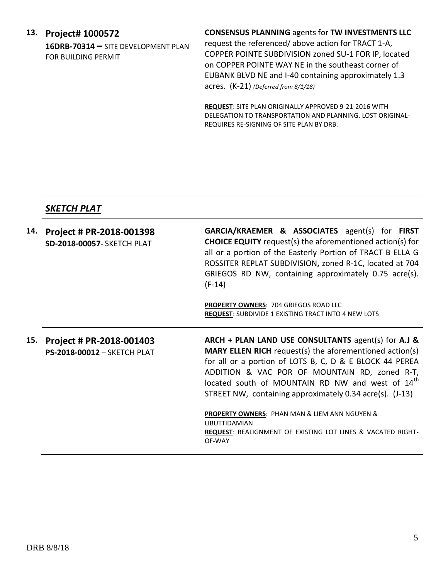## **13. Project# 1000572**

**16DRB-70314 –** SITE DEVELOPMENT PLAN FOR BUILDING PERMIT

## **CONSENSUS PLANNING** agents for **TW INVESTMENTS LLC**

request the referenced/ above action for TRACT 1-A, COPPER POINTE SUBDIVISION zoned SU-1 FOR IP, located on COPPER POINTE WAY NE in the southeast corner of EUBANK BLVD NE and I-40 containing approximately 1.3 acres. (K-21) *(Deferred from 8/1/18)*

**REQUEST**: SITE PLAN ORIGINALLY APPROVED 9-21-2016 WITH DELEGATION TO TRANSPORTATION AND PLANNING. LOST ORIGINAL-REQUIRES RE-SIGNING OF SITE PLAN BY DRB.

## *SKETCH PLAT*

| 14. | Project # PR-2018-001398<br><b>SD-2018-00057- SKETCH PLAT</b> | <b>GARCIA/KRAEMER &amp; ASSOCIATES</b> agent(s) for <b>FIRST</b><br><b>CHOICE EQUITY</b> request(s) the aforementioned action(s) for<br>all or a portion of the Easterly Portion of TRACT B ELLA G<br>ROSSITER REPLAT SUBDIVISION, zoned R-1C, located at 704<br>GRIEGOS RD NW, containing approximately 0.75 acre(s).<br>$(F-14)$<br><b>PROPERTY OWNERS: 704 GRIEGOS ROAD LLC</b> |
|-----|---------------------------------------------------------------|------------------------------------------------------------------------------------------------------------------------------------------------------------------------------------------------------------------------------------------------------------------------------------------------------------------------------------------------------------------------------------|
|     |                                                               | <b>REQUEST:</b> SUBDIVIDE 1 EXISTING TRACT INTO 4 NEW LOTS                                                                                                                                                                                                                                                                                                                         |
| 15. | Project # PR-2018-001403<br>PS-2018-00012 - SKETCH PLAT       | ARCH + PLAN LAND USE CONSULTANTS agent(s) for A.J &<br><b>MARY ELLEN RICH</b> request(s) the aforementioned action(s)<br>for all or a portion of LOTS B, C, D & E BLOCK 44 PEREA<br>ADDITION & VAC POR OF MOUNTAIN RD, zoned R-T,                                                                                                                                                  |
|     |                                                               | located south of MOUNTAIN RD NW and west of 14 <sup>th</sup><br>STREET NW, containing approximately 0.34 acre(s). (J-13)                                                                                                                                                                                                                                                           |